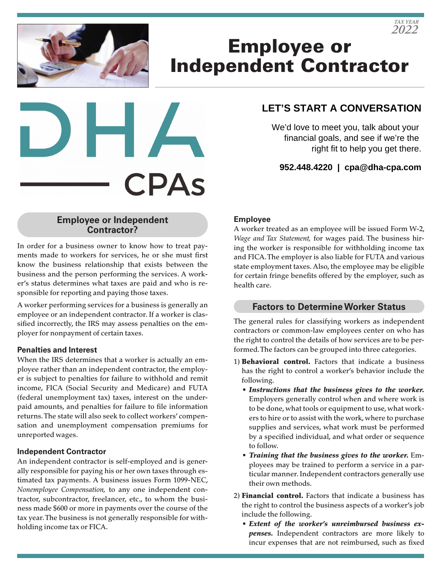# Employee or Independent Contractor



# **LET'S START A CONVERSATION**

We'd love to meet you, talk about your financial goals, and see if we're the right fit to help you get there.

**952.448.4220 | cpa@dha-cpa.com**

#### **Employee or Independent Contractor?**

In order for a business owner to know how to treat payments made to workers for services, he or she must first know the business relationship that exists between the business and the person performing the services. A worker's status determines what taxes are paid and who is responsible for reporting and paying those taxes.

A worker performing services for a business is generally an employee or an independent contractor. If a worker is classified incorrectly, the IRS may assess penalties on the employer for nonpayment of certain taxes.

#### **Penalties and Interest**

When the IRS determines that a worker is actually an employee rather than an independent contractor, the employer is subject to penalties for failure to withhold and remit income, FICA (Social Security and Medicare) and FUTA (federal unemployment tax) taxes, interest on the underpaid amounts, and penalties for failure to file information returns. The state will also seek to collect workers' compensation and unemployment compensation premiums for unreported wages.

## **Independent Contractor**

An independent contractor is self-employed and is generally responsible for paying his or her own taxes through estimated tax payments. A business issues Form 1099-NEC, *Nonemployee Compensation,* to any one independent contractor, subcontractor, freelancer, etc., to whom the business made \$600 or more in payments over the course of the tax year. The business is not generally responsible for withholding income tax or FICA.

## **Employee**

A worker treated as an employee will be issued Form W-2, *Wage and Tax Statement,* for wages paid. The business hiring the worker is responsible for withholding income tax and FICA. The employer is also liable for FUTA and various state employment taxes. Also, the employee may be eligible for certain fringe benefits offered by the employer, such as health care.

## **Factors to Determine Worker Status**

The general rules for classifying workers as independent contractors or common-law employees center on who has the right to control the details of how services are to be performed. The factors can be grouped into three categories.

- 1) **Behavioral control.** Factors that indicate a business has the right to control a worker's behavior include the following.
	- *Instructions that the business gives to the worker.* Employers generally control when and where work is to be done, what tools or equipment to use, what workers to hire or to assist with the work, where to purchase supplies and services, what work must be performed by a specified individual, and what order or sequence to follow.
	- *Training that the business gives to the worker.* Employees may be trained to perform a service in a particular manner. Independent contractors generally use their own methods.
- 2) Financial control. Factors that indicate a business has the right to control the business aspects of a worker's job include the following.
	- *Extent of the worker's unreimbursed business expenses.* Independent contractors are more likely to incur expenses that are not reimbursed, such as fixed